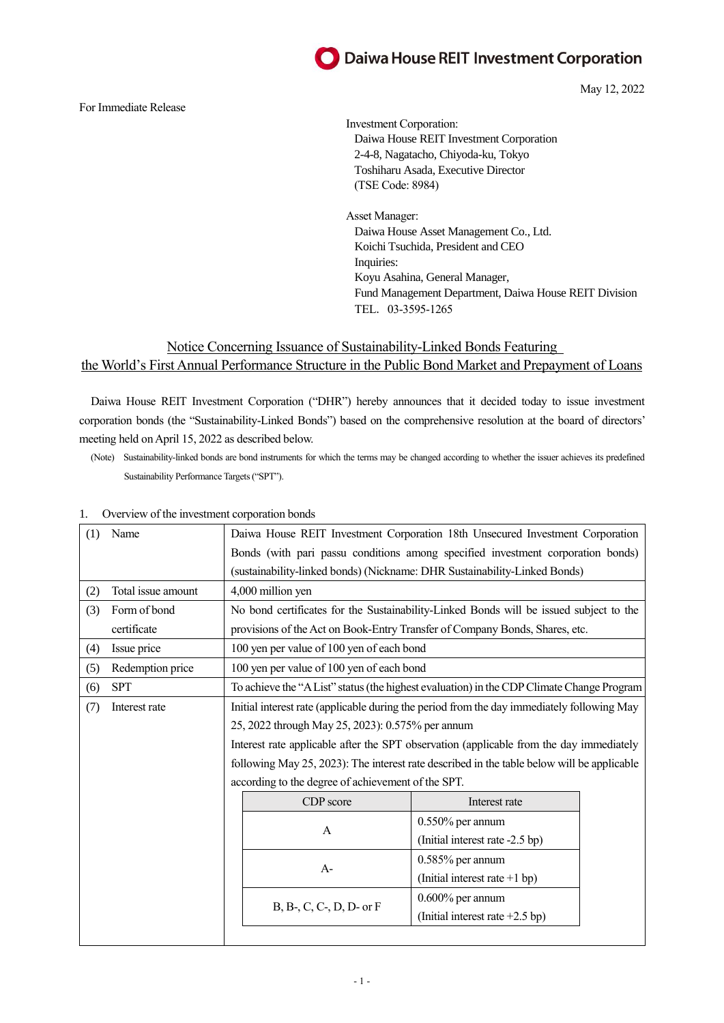## Daiwa House REIT Investment Corporation

May 12, 2022

#### For Immediate Release

Investment Corporation: Daiwa House REIT Investment Corporation 2-4-8, Nagatacho, Chiyoda-ku, Tokyo Toshiharu Asada, Executive Director (TSE Code: 8984)

Asset Manager: Daiwa House Asset Management Co., Ltd. Koichi Tsuchida, President and CEO Inquiries: Koyu Asahina, General Manager, Fund Management Department, Daiwa House REIT Division TEL.03-3595-1265

## Notice Concerning Issuance of Sustainability-Linked Bonds Featuring the World's First Annual Performance Structure in the Public Bond Market and Prepayment of Loans

Daiwa House REIT Investment Corporation ("DHR") hereby announces that it decided today to issue investment corporation bonds (the "Sustainability-Linked Bonds") based on the comprehensive resolution at the board of directors' meeting held on April 15, 2022 as described below.

(Note) Sustainability-linked bonds are bond instruments for which the terms may be changed according to whether the issuer achieves its predefined Sustainability Performance Targets ("SPT").

| (1) | Name               | Daiwa House REIT Investment Corporation 18th Unsecured Investment Corporation              |                                   |  |  |  |
|-----|--------------------|--------------------------------------------------------------------------------------------|-----------------------------------|--|--|--|
|     |                    | Bonds (with pari passu conditions among specified investment corporation bonds)            |                                   |  |  |  |
|     |                    | (sustainability-linked bonds) (Nickname: DHR Sustainability-Linked Bonds)                  |                                   |  |  |  |
| (2) | Total issue amount | 4,000 million yen                                                                          |                                   |  |  |  |
| (3) | Form of bond       | No bond certificates for the Sustainability-Linked Bonds will be issued subject to the     |                                   |  |  |  |
|     | certificate        | provisions of the Act on Book-Entry Transfer of Company Bonds, Shares, etc.                |                                   |  |  |  |
| (4) | Issue price        | 100 yen per value of 100 yen of each bond                                                  |                                   |  |  |  |
| (5) | Redemption price   | 100 yen per value of 100 yen of each bond                                                  |                                   |  |  |  |
| (6) | <b>SPT</b>         | To achieve the "A List" status (the highest evaluation) in the CDP Climate Change Program  |                                   |  |  |  |
| (7) | Interest rate      | Initial interest rate (applicable during the period from the day immediately following May |                                   |  |  |  |
|     |                    | 25, 2022 through May 25, 2023): 0.575% per annum                                           |                                   |  |  |  |
|     |                    | Interest rate applicable after the SPT observation (applicable from the day immediately    |                                   |  |  |  |
|     |                    | following May 25, 2023): The interest rate described in the table below will be applicable |                                   |  |  |  |
|     |                    | according to the degree of achievement of the SPT.                                         |                                   |  |  |  |
|     |                    | CDP score                                                                                  | Interest rate                     |  |  |  |
|     |                    | $\mathsf{A}$                                                                               | $0.550\%$ per annum               |  |  |  |
|     |                    |                                                                                            | (Initial interest rate -2.5 bp)   |  |  |  |
|     |                    | $A-$                                                                                       | 0.585% per annum                  |  |  |  |
|     |                    |                                                                                            | (Initial interest rate +1 bp)     |  |  |  |
|     |                    | $B, B-, C, C-, D, D$ or $F$                                                                | $0.600\%$ per annum               |  |  |  |
|     |                    |                                                                                            | (Initial interest rate $+2.5$ bp) |  |  |  |
|     |                    |                                                                                            |                                   |  |  |  |

### 1. Overview of the investment corporation bonds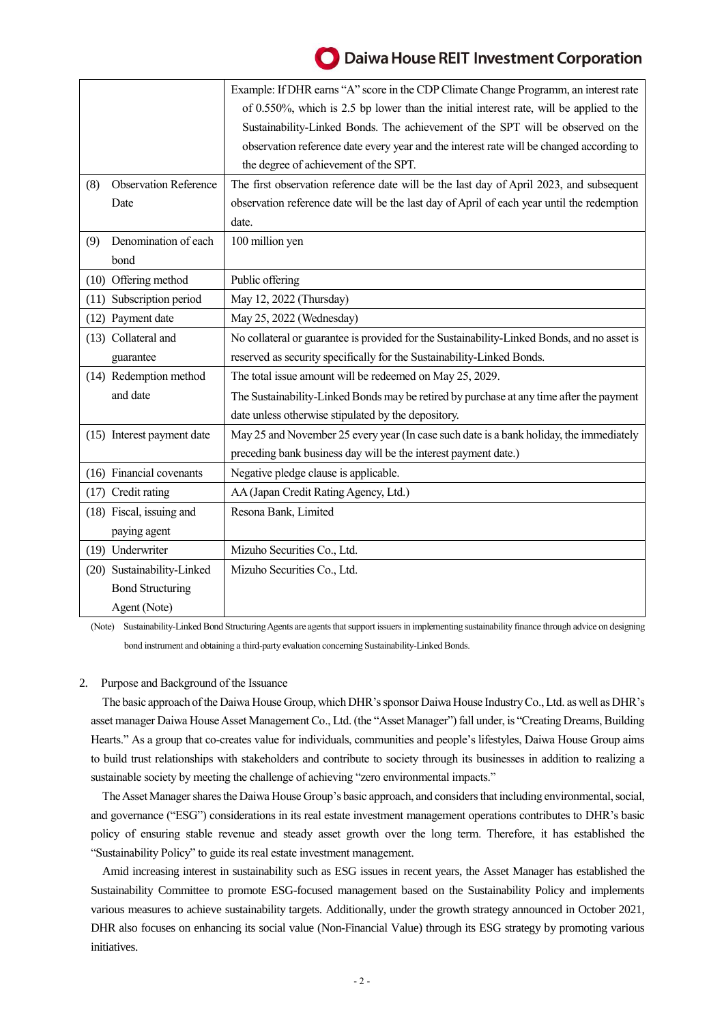# Daiwa House REIT Investment Corporation

|      |                              | Example: If DHR earns "A" score in the CDP Climate Change Programm, an interest rate        |
|------|------------------------------|---------------------------------------------------------------------------------------------|
|      |                              | of 0.550%, which is 2.5 bp lower than the initial interest rate, will be applied to the     |
|      |                              | Sustainability-Linked Bonds. The achievement of the SPT will be observed on the             |
|      |                              | observation reference date every year and the interest rate will be changed according to    |
|      |                              | the degree of achievement of the SPT.                                                       |
| (8)  | <b>Observation Reference</b> | The first observation reference date will be the last day of April 2023, and subsequent     |
|      | Date                         | observation reference date will be the last day of April of each year until the redemption  |
|      |                              | date.                                                                                       |
| (9)  | Denomination of each         | 100 million yen                                                                             |
|      | bond                         |                                                                                             |
|      | (10) Offering method         | Public offering                                                                             |
| (11) | Subscription period          | May 12, 2022 (Thursday)                                                                     |
|      | (12) Payment date            | May 25, 2022 (Wednesday)                                                                    |
|      | (13) Collateral and          | No collateral or guarantee is provided for the Sustainability-Linked Bonds, and no asset is |
|      | guarantee                    | reserved as security specifically for the Sustainability-Linked Bonds.                      |
|      | (14) Redemption method       | The total issue amount will be redeemed on May 25, 2029.                                    |
|      | and date                     | The Sustainability-Linked Bonds may be retired by purchase at any time after the payment    |
|      |                              | date unless otherwise stipulated by the depository.                                         |
|      | (15) Interest payment date   | May 25 and November 25 every year (In case such date is a bank holiday, the immediately     |
|      |                              | preceding bank business day will be the interest payment date.)                             |
|      | (16) Financial covenants     | Negative pledge clause is applicable.                                                       |
|      | (17) Credit rating           | AA (Japan Credit Rating Agency, Ltd.)                                                       |
|      | (18) Fiscal, issuing and     | Resona Bank, Limited                                                                        |
|      | paying agent                 |                                                                                             |
|      | (19) Underwriter             | Mizuho Securities Co., Ltd.                                                                 |
|      | (20) Sustainability-Linked   | Mizuho Securities Co., Ltd.                                                                 |
|      | <b>Bond Structuring</b>      |                                                                                             |
|      | Agent (Note)                 |                                                                                             |

(Note) Sustainability-Linked Bond Structuring Agents are agentsthat support issuers in implementing sustainability finance through advice on designing bond instrument and obtaining a third-party evaluation concerning Sustainability-Linked Bonds.

## 2. Purpose and Background of the Issuance

The basic approach of the Daiwa House Group, which DHR's sponsor Daiwa House Industry Co., Ltd. as well as DHR's asset manager Daiwa House Asset Management Co., Ltd. (the "Asset Manager") fall under, is "Creating Dreams, Building Hearts." As a group that co-creates value for individuals, communities and people's lifestyles, Daiwa House Group aims to build trust relationships with stakeholders and contribute to society through its businesses in addition to realizing a sustainable society by meeting the challenge of achieving "zero environmental impacts."

The Asset Manager shares the Daiwa House Group's basic approach, and considers that including environmental,social, and governance ("ESG") considerations in its real estate investment management operations contributes to DHR's basic policy of ensuring stable revenue and steady asset growth over the long term. Therefore, it has established the "Sustainability Policy" to guide its real estate investment management.

Amid increasing interest in sustainability such as ESG issues in recent years, the Asset Manager has established the Sustainability Committee to promote ESG-focused management based on the Sustainability Policy and implements various measures to achieve sustainability targets. Additionally, under the growth strategy announced in October 2021, DHR also focuses on enhancing its social value (Non-Financial Value) through its ESG strategy by promoting various initiatives.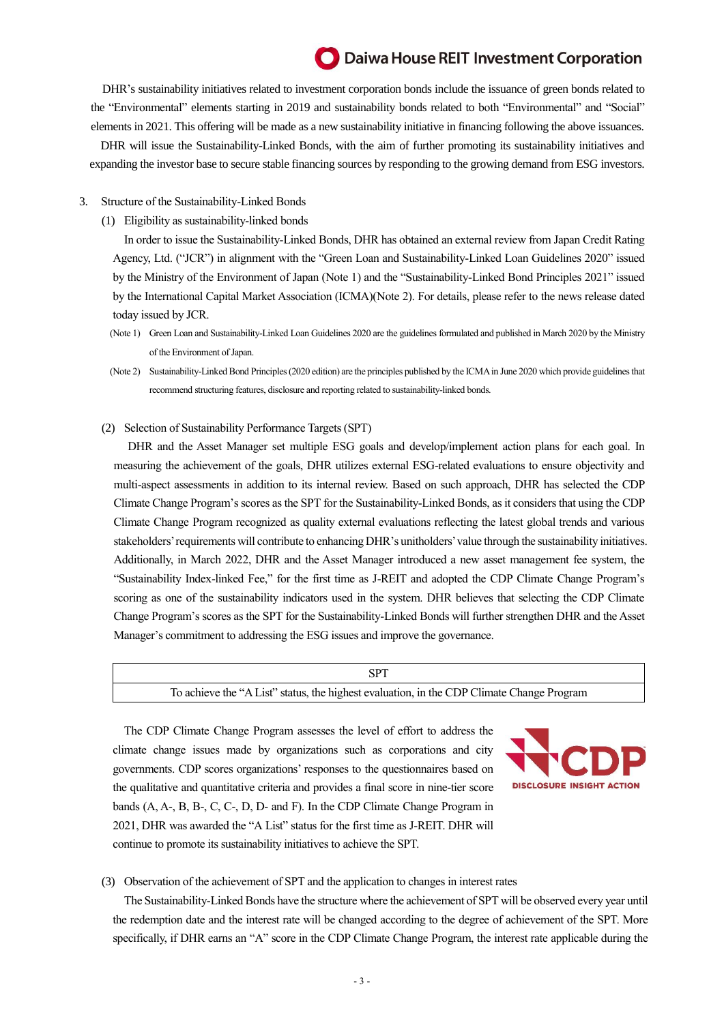## Daiwa House REIT Investment Corporation

DHR's sustainability initiatives related to investment corporation bonds include the issuance of green bonds related to the "Environmental" elements starting in 2019 and sustainability bonds related to both "Environmental" and "Social" elements in 2021. This offering will be made as a new sustainability initiative in financing following the above issuances. DHR will issue the Sustainability-Linked Bonds, with the aim of further promoting its sustainability initiatives and expanding the investor base to secure stable financing sources by responding to the growing demand from ESG investors.

#### 3. Structure of the Sustainability-Linked Bonds

(1) Eligibility as sustainability-linked bonds

In order to issue the Sustainability-Linked Bonds, DHR has obtained an external review from Japan Credit Rating Agency, Ltd. ("JCR") in alignment with the "Green Loan and Sustainability-Linked Loan Guidelines 2020" issued by the Ministry of the Environment of Japan (Note 1) and the "Sustainability-Linked Bond Principles 2021" issued by the International Capital Market Association (ICMA)(Note 2). For details, please refer to the news release dated today issued by JCR.

- (Note 1) Green Loan and Sustainability-Linked Loan Guidelines 2020 are the guidelines formulated and published in March 2020 by the Ministry of the Environment of Japan.
- (Note 2) Sustainability-Linked Bond Principles (2020 edition) are the principles published by the ICMA in June 2020 which provide guidelines that recommend structuring features, disclosure and reporting related to sustainability-linked bonds.

#### (2) Selection of Sustainability Performance Targets (SPT)

DHR and the Asset Manager set multiple ESG goals and develop/implement action plans for each goal. In measuring the achievement of the goals, DHR utilizes external ESG-related evaluations to ensure objectivity and multi-aspect assessments in addition to its internal review. Based on such approach, DHR has selected the CDP Climate Change Program's scores as the SPT for the Sustainability-Linked Bonds, as it considers that using the CDP Climate Change Program recognized as quality external evaluations reflecting the latest global trends and various stakeholders' requirements will contribute to enhancing DHR's unitholders' value through the sustainability initiatives. Additionally, in March 2022, DHR and the Asset Manager introduced a new asset management fee system, the "Sustainability Index-linked Fee," for the first time as J-REIT and adopted the CDP Climate Change Program's scoring as one of the sustainability indicators used in the system. DHR believes that selecting the CDP Climate Change Program's scores as the SPT for the Sustainability-Linked Bonds will further strengthen DHR and the Asset Manager's commitment to addressing the ESG issues and improve the governance.

| To achieve the "A List" status, the highest evaluation, in the CDP Climate Change Program |  |
|-------------------------------------------------------------------------------------------|--|

The CDP Climate Change Program assesses the level of effort to address the climate change issues made by organizations such as corporations and city governments. CDP scores organizations' responses to the questionnaires based on the qualitative and quantitative criteria and provides a final score in nine-tier score bands (A, A-, B, B-, C, C-, D, D- and F). In the CDP Climate Change Program in 2021, DHR was awarded the "A List" status for the first time as J-REIT. DHR will continue to promote its sustainability initiatives to achieve the SPT.



#### (3) Observation of the achievement of SPT and the application to changes in interest rates

The Sustainability-Linked Bonds have the structure where the achievement of SPT will be observed every year until the redemption date and the interest rate will be changed according to the degree of achievement of the SPT. More specifically, if DHR earns an "A" score in the CDP Climate Change Program, the interest rate applicable during the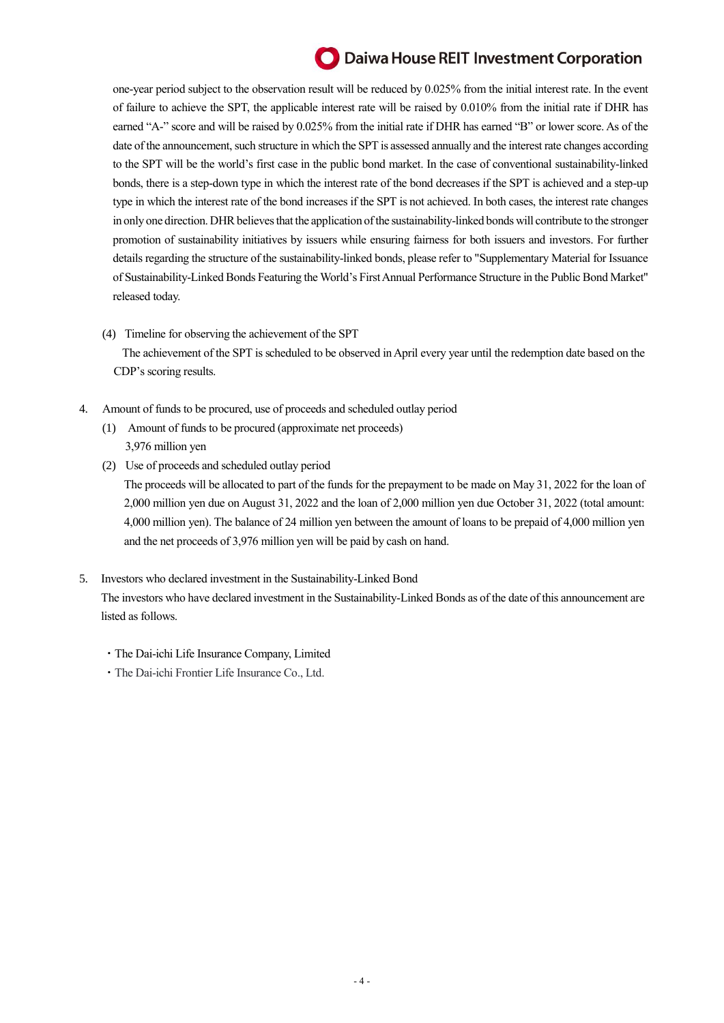# **O** Daiwa House REIT Investment Corporation

one-year period subject to the observation result will be reduced by 0.025% from the initial interest rate. In the event of failure to achieve the SPT, the applicable interest rate will be raised by 0.010% from the initial rate if DHR has earned "A-" score and will be raised by 0.025% from the initial rate if DHR has earned "B" or lower score. As of the date of the announcement, such structure in which the SPT is assessed annually and the interest rate changes according to the SPT will be the world's first case in the public bond market. In the case of conventional sustainability-linked bonds, there is a step-down type in which the interest rate of the bond decreases if the SPT is achieved and a step-up type in which the interest rate of the bond increases if the SPT is not achieved. In both cases, the interest rate changes in only one direction. DHR believes that the application of the sustainability-linked bonds will contribute to the stronger promotion of sustainability initiatives by issuers while ensuring fairness for both issuers and investors. For further details regarding the structure of the sustainability-linked bonds, please refer to "Supplementary Material for Issuance of Sustainability-Linked Bonds Featuring the World's First Annual Performance Structure in the Public Bond Market" released today.

- (4) Timeline for observing the achievement of the SPT The achievement of the SPT is scheduled to be observed in April every year until the redemption date based on the CDP's scoring results.
- 4. Amount of funds to be procured, use of proceeds and scheduled outlay period
	- (1) Amount of funds to be procured (approximate net proceeds) 3,976 million yen
	- (2) Use of proceeds and scheduled outlay period The proceeds will be allocated to part of the funds for the prepayment to be made on May 31, 2022 for the loan of 2,000 million yen due on August 31, 2022 and the loan of 2,000 million yen due October 31, 2022 (total amount: 4,000 million yen). The balance of 24 million yen between the amount of loans to be prepaid of 4,000 million yen and the net proceeds of 3,976 million yen will be paid by cash on hand.
- 5. Investors who declared investment in the Sustainability-Linked Bond The investors who have declared investment in the Sustainability-Linked Bonds as of the date of this announcement are listed as follows.
	- ・The Dai-ichi Life Insurance Company, Limited
	- ・The Dai-ichi Frontier Life Insurance Co., Ltd.